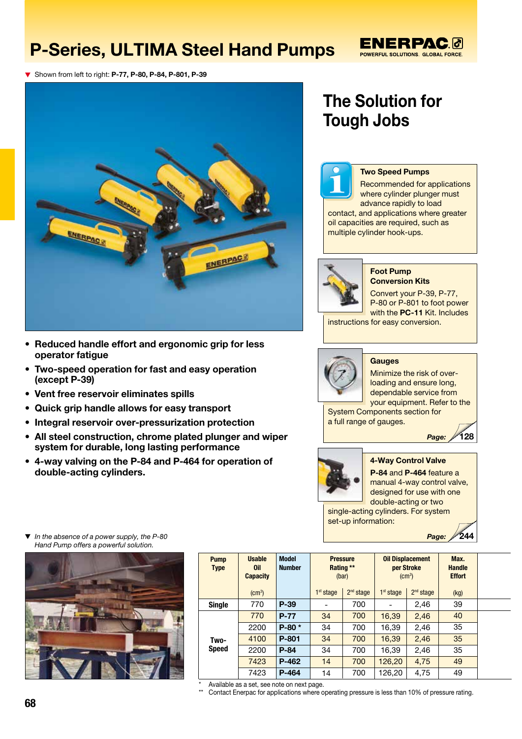# P-Series, ULTIMA Steel Hand Pumps

### **ENERPAC®** POWERFUL SOLUTIONS. GLOBAL FORCE.

**V** Shown from left to right: P-77, P-80, P-84, P-801, P-39



- Reduced handle effort and ergonomic grip for less operator fatigue
- Two-speed operation for fast and easy operation (except P-39)
- Vent free reservoir eliminates spills
- Quick grip handle allows for easy transport
- Integral reservoir over-pressurization protection
- All steel construction, chrome plated plunger and wiper system for durable, long lasting performance
- 4-way valving on the P-84 and P-464 for operation of double-acting cylinders.

# The Solution for Tough Jobs



### Two Speed Pumps

Recommended for applications where cylinder plunger must advance rapidly to load contact, and applications where greater oil capacities are required, such as multiple cylinder hook-ups.



#### Foot Pump Conversion Kits

Convert your P-39, P-77, P-80 or P-801 to foot power with the PC-11 Kit. Includes

instructions for easy conversion.



### **Gauges**

Minimize the risk of overloading and ensure long, dependable service from

your equipment. Refer to the System Components section for a full range of gauges.



## 4-Way Control Valve

*Page:*

*Page:*

128

244

P-84 and P-464 feature a manual 4-way control valve, designed for use with one double-acting or two single-acting cylinders. For system set-up information:

 *In the absence of a power supply, the P-80 Hand Pump offers a powerful solution.*



| <b>Pump</b><br><b>Type</b> | <b>Usable</b><br>0il<br><b>Capacity</b> | <b>Model</b><br><b>Number</b> | <b>Pressure</b><br>Rating **<br>(bar) |                       | <b>Oil Displacement</b><br>per Stroke<br>$\rm (cm^3)$ |                       | Max.<br><b>Handle</b><br><b>Effort</b> |  |
|----------------------------|-----------------------------------------|-------------------------------|---------------------------------------|-----------------------|-------------------------------------------------------|-----------------------|----------------------------------------|--|
|                            | $\text{(cm}^3\text{)}$                  |                               | 1 <sup>st</sup> stage                 | 2 <sup>nd</sup> stage | 1 <sup>st</sup> stage                                 | 2 <sup>nd</sup> stage | (kg)                                   |  |
| <b>Single</b>              | 770                                     | $P-39$                        |                                       | 700                   |                                                       | 2,46                  | 39                                     |  |
| Two-<br><b>Speed</b>       | 770                                     | $P-77$                        | 34                                    | 700                   | 16,39                                                 | 2,46                  | 40                                     |  |
|                            | 2200                                    | $P-80*$                       | 34                                    | 700                   | 16,39                                                 | 2,46                  | 35                                     |  |
|                            | 4100                                    | P-801                         | 34                                    | 700                   | 16,39                                                 | 2,46                  | 35                                     |  |
|                            | 2200                                    | $P-84$                        | 34                                    | 700                   | 16.39                                                 | 2,46                  | 35                                     |  |
|                            | 7423                                    | P-462                         | 14                                    | 700                   | 126,20                                                | 4,75                  | 49                                     |  |
|                            | 7423                                    | P-464                         | 14                                    | 700                   | 126,20                                                | 4,75                  | 49                                     |  |
| .                          | $\sim$ $\sim$                           |                               |                                       |                       |                                                       |                       |                                        |  |

\* Available as a set, see note on next page.

Contact Enerpac for applications where operating pressure is less than 10% of pressure rating.